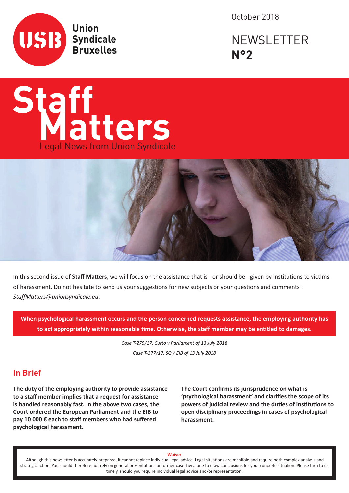

October 2018

# NEWSLETTER **N°2**





In this second issue of **Staff Matters**, we will focus on the assistance that is - or should be - given by institutions to victims of harassment. Do not hesitate to send us your suggestions for new subjects or your questions and comments : *StaffMatters@unionsyndicale.eu*.

**When psychological harassment occurs and the person concerned requests assistance, the employing authority has to act appropriately within reasonable time. Otherwise, the staff member may be entitled to damages.**

> *Case T-275/17, Curto v Parliament of 13 July 2018 Case T-377/17, SQ / EIB of 13 July 2018*

#### **In Brief**

**The duty of the employing authority to provide assistance to a staff member implies that a request for assistance is handled reasonably fast. In the above two cases, the Court ordered the European Parliament and the EIB to pay 10 000 € each to staff members who had suffered psychological harassment.** 

**The Court confirms its jurisprudence on what is 'psychological harassment' and clarifies the scope of its powers of judicial review and the duties of institutions to open disciplinary proceedings in cases of psychological harassment.**

#### **Waiver**

 Although this newsletter is accurately prepared, it cannot replace individual legal advice. Legal situations are manifold and require both complex analysis and strategic action. You should therefore not rely on general presentations or former case-law alone to draw conclusions for your concrete situation. Please turn to us timely, should you require individual legal advice and/or representation.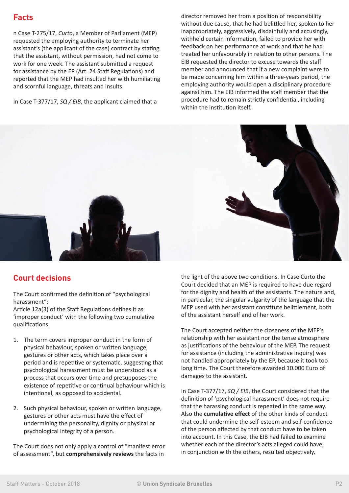# **Facts**

n Case T-275/17, *Curto*, a Member of Parliament (MEP) requested the employing authority to terminate her assistant's (the applicant of the case) contract by stating that the assistant, without permission, had not come to work for one week. The assistant submitted a request for assistance by the EP (Art. 24 Staff Regulations) and reported that the MEP had insulted her with humiliating and scornful language, threats and insults.

In Case T-377/17, *SQ / EIB*, the applicant claimed that a

director removed her from a position of responsibility without due cause, that he had belittled her, spoken to her inappropriately, aggressively, disdainfully and accusingly, withheld certain information, failed to provide her with feedback on her performance at work and that he had treated her unfavourably in relation to other persons. The EIB requested the director to excuse towards the staff member and announced that if a new complaint were to be made concerning him within a three-years period, the employing authority would open a disciplinary procedure against him. The EIB informed the staff member that the procedure had to remain strictly confidential, including within the institution itself.



# **Court decisions**

The Court confirmed the definition of "psychological harassment":

Article 12a(3) of the Staff Regulations defines it as 'improper conduct' with the following two cumulative qualifications:

- 1. The term covers improper conduct in the form of physical behaviour, spoken or written language, gestures or other acts, which takes place over a period and is repetitive or systematic, suggesting that psychological harassment must be understood as a process that occurs over time and presupposes the existence of repetitive or continual behaviour which is intentional, as opposed to accidental.
- 2. Such physical behaviour, spoken or written language, gestures or other acts must have the effect of undermining the personality, dignity or physical or psychological integrity of a person.

The Court does not only apply a control of "manifest error of assessment", but **comprehensively reviews** the facts in

the light of the above two conditions. In Case Curto the Court decided that an MEP is required to have due regard for the dignity and health of the assistants. The nature and, in particular, the singular vulgarity of the language that the MEP used with her assistant constitute belittlement, both of the assistant herself and of her work.

The Court accepted neither the closeness of the MEP's relationship with her assistant nor the tense atmosphere as justifications of the behaviour of the MEP. The request for assistance (including the administrative inquiry) was not handled appropriately by the EP, because it took too long time. The Court therefore awarded 10.000 Euro of damages to the assistant.

In Case T-377/17, *SQ / EIB*, the Court considered that the definition of 'psychological harassment' does not require that the harassing conduct is repeated in the same way. Also the **cumulative effect** of the other kinds of conduct that could undermine the self-esteem and self-confidence of the person affected by that conduct have to be taken into account. In this Case, the EIB had failed to examine whether each of the director's acts alleged could have, in conjunction with the others, resulted objectively,